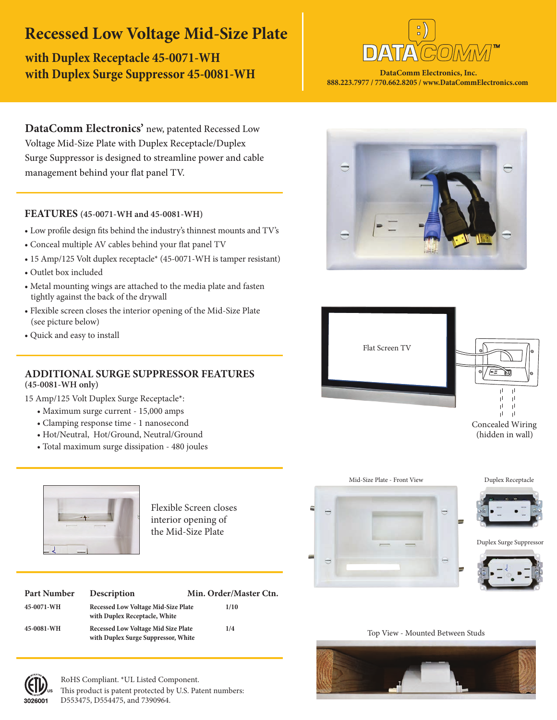## **Recessed Low Voltage Mid-Size Plate**

**with Duplex Receptacle 45-0071-WH with Duplex Surge Suppressor 45-0081-WH**



**DataComm Electronics, Inc. 888.223.7977 / 770.662.8205 / www.DataCommElectronics.com**

**DataComm Electronics'** new, patented Recessed Low Voltage Mid-Size Plate with Duplex Receptacle/Duplex Surge Suppressor is designed to streamline power and cable management behind your flat panel TV.

### **FEATURES (45-0071-WH and 45-0081-WH)**

- Low profile design fits behind the industry's thinnest mounts and TV's
- Conceal multiple AV cables behind your flat panel TV
- 15 Amp/125 Volt duplex receptacle\* (45-0071-WH is tamper resistant)
- Outlet box included
- Metal mounting wings are attached to the media plate and fasten tightly against the back of the drywall
- Flexible screen closes the interior opening of the Mid-Size Plate (see picture below)
- Quick and easy to install

### **ADDITIONAL SURGE SUPPRESSOR FEATURES (45-0081-WH only)**

15 Amp/125 Volt Duplex Surge Receptacle\*:

- Maximum surge current 15,000 amps
- Clamping response time 1 nanosecond
- Hot/Neutral, Hot/Ground, Neutral/Ground
- Total maximum surge dissipation 480 joules



3026001

Flexible Screen closes interior opening of the Mid-Size Plate

| Part Number | Description                                                                       | Min. Order/Master Ctn. |
|-------------|-----------------------------------------------------------------------------------|------------------------|
| 45-0071-WH  | <b>Recessed Low Voltage Mid-Size Plate</b><br>with Duplex Receptacle, White       | 1/10                   |
| 45-0081-WH  | <b>Recessed Low Voltage Mid Size Plate</b><br>with Duplex Surge Suppressor, White | 1/4                    |









Duplex Surge Suppressor



Top View - Mounted Between Studs



This product is patent protected by U.S. Patent numbers: D553475, D554475, and 7390964. RoHS Compliant. \*UL Listed Component.